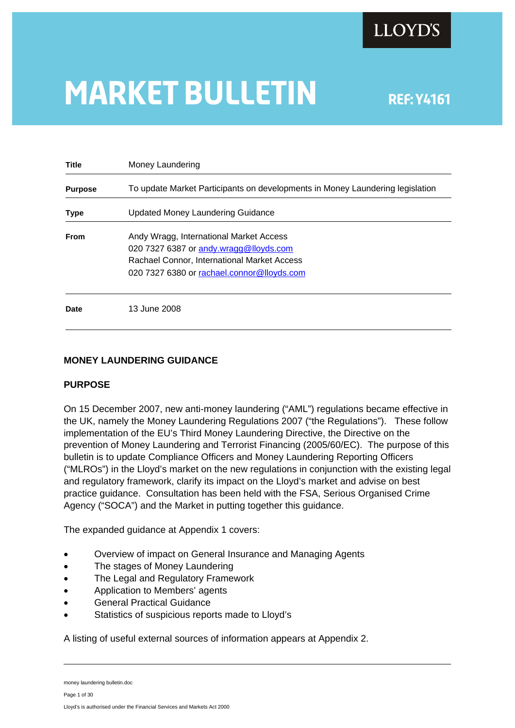# **MARKET BULLETIN** REF: Y4161

| <b>Title</b>   | Money Laundering                                                                                                                                                               |  |
|----------------|--------------------------------------------------------------------------------------------------------------------------------------------------------------------------------|--|
| <b>Purpose</b> | To update Market Participants on developments in Money Laundering legislation                                                                                                  |  |
| <b>Type</b>    | Updated Money Laundering Guidance                                                                                                                                              |  |
| <b>From</b>    | Andy Wragg, International Market Access<br>020 7327 6387 or andy wragg@lloyds.com<br>Rachael Connor, International Market Access<br>020 7327 6380 or rachael.connor@lloyds.com |  |
| <b>Date</b>    | 13 June 2008                                                                                                                                                                   |  |

# **MONEY LAUNDERING GUIDANCE**

# **PURPOSE**

On 15 December 2007, new anti-money laundering ("AML") regulations became effective in the UK, namely the Money Laundering Regulations 2007 ("the Regulations"). These follow implementation of the EU's Third Money Laundering Directive, the Directive on the prevention of Money Laundering and Terrorist Financing (2005/60/EC). The purpose of this bulletin is to update Compliance Officers and Money Laundering Reporting Officers ("MLROs") in the Lloyd's market on the new regulations in conjunction with the existing legal and regulatory framework, clarify its impact on the Lloyd's market and advise on best practice guidance. Consultation has been held with the FSA, Serious Organised Crime Agency ("SOCA") and the Market in putting together this guidance.

The expanded guidance at Appendix 1 covers:

- Overview of impact on General Insurance and Managing Agents
- The stages of Money Laundering
- The Legal and Regulatory Framework
- Application to Members' agents
- General Practical Guidance
- Statistics of suspicious reports made to Lloyd's

A listing of useful external sources of information appears at Appendix 2.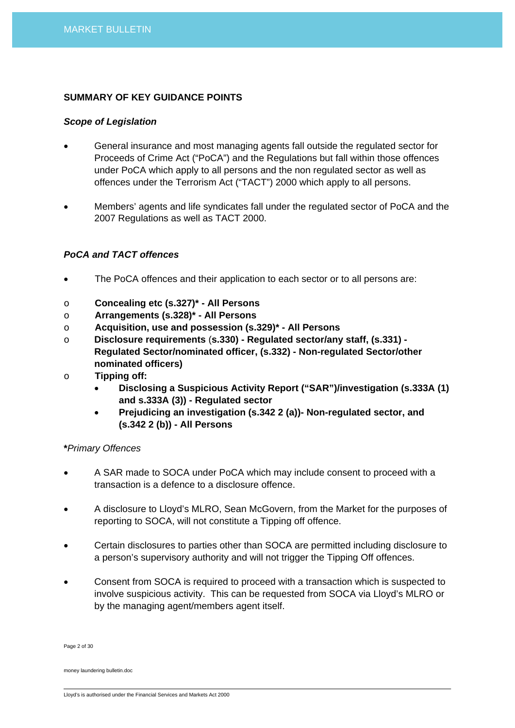## **SUMMARY OF KEY GUIDANCE POINTS**

## *Scope of Legislation*

- General insurance and most managing agents fall outside the regulated sector for Proceeds of Crime Act ("PoCA") and the Regulations but fall within those offences under PoCA which apply to all persons and the non regulated sector as well as offences under the Terrorism Act ("TACT") 2000 which apply to all persons.
- Members' agents and life syndicates fall under the regulated sector of PoCA and the 2007 Regulations as well as TACT 2000.

# *PoCA and TACT offences*

- The PoCA offences and their application to each sector or to all persons are:
- o **Concealing etc (s.327)\* All Persons**
- o **Arrangements (s.328)\* All Persons**
- o **Acquisition, use and possession (s.329)\* All Persons**
- o **Disclosure requirements** (**s.330) Regulated sector/any staff, (s.331) Regulated Sector/nominated officer, (s.332) - Non-regulated Sector/other nominated officers)**
- o **Tipping off:** 
	- **Disclosing a Suspicious Activity Report ("SAR")/investigation (s.333A (1) and s.333A (3)) - Regulated sector**
	- **Prejudicing an investigation (s.342 2 (a))- Non-regulated sector, and (s.342 2 (b)) - All Persons**

## **\****Primary Offences*

- A SAR made to SOCA under PoCA which may include consent to proceed with a transaction is a defence to a disclosure offence.
- A disclosure to Lloyd's MLRO, Sean McGovern, from the Market for the purposes of reporting to SOCA, will not constitute a Tipping off offence.
- Certain disclosures to parties other than SOCA are permitted including disclosure to a person's supervisory authority and will not trigger the Tipping Off offences.
- Consent from SOCA is required to proceed with a transaction which is suspected to involve suspicious activity. This can be requested from SOCA via Lloyd's MLRO or by the managing agent/members agent itself.

Page 2 of 30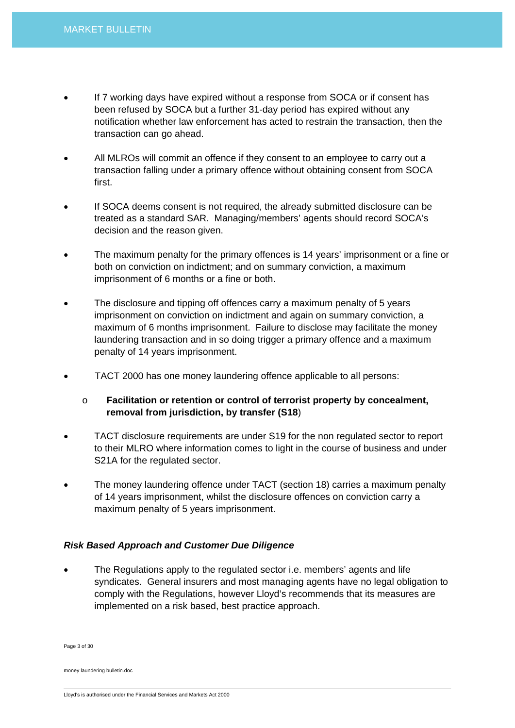- If 7 working days have expired without a response from SOCA or if consent has been refused by SOCA but a further 31-day period has expired without any notification whether law enforcement has acted to restrain the transaction, then the transaction can go ahead.
- All MLROs will commit an offence if they consent to an employee to carry out a transaction falling under a primary offence without obtaining consent from SOCA first.
- If SOCA deems consent is not required, the already submitted disclosure can be treated as a standard SAR. Managing/members' agents should record SOCA's decision and the reason given.
- The maximum penalty for the primary offences is 14 years' imprisonment or a fine or both on conviction on indictment; and on summary conviction, a maximum imprisonment of 6 months or a fine or both.
- The disclosure and tipping off offences carry a maximum penalty of 5 years imprisonment on conviction on indictment and again on summary conviction, a maximum of 6 months imprisonment. Failure to disclose may facilitate the money laundering transaction and in so doing trigger a primary offence and a maximum penalty of 14 years imprisonment.
- TACT 2000 has one money laundering offence applicable to all persons:
	- o **Facilitation or retention or control of terrorist property by concealment, removal from jurisdiction, by transfer (S18**)
- TACT disclosure requirements are under S19 for the non regulated sector to report to their MLRO where information comes to light in the course of business and under S21A for the regulated sector.
- The money laundering offence under TACT (section 18) carries a maximum penalty of 14 years imprisonment, whilst the disclosure offences on conviction carry a maximum penalty of 5 years imprisonment.

# *Risk Based Approach and Customer Due Diligence*

• The Regulations apply to the regulated sector i.e. members' agents and life syndicates. General insurers and most managing agents have no legal obligation to comply with the Regulations, however Lloyd's recommends that its measures are implemented on a risk based, best practice approach.

Page 3 of 30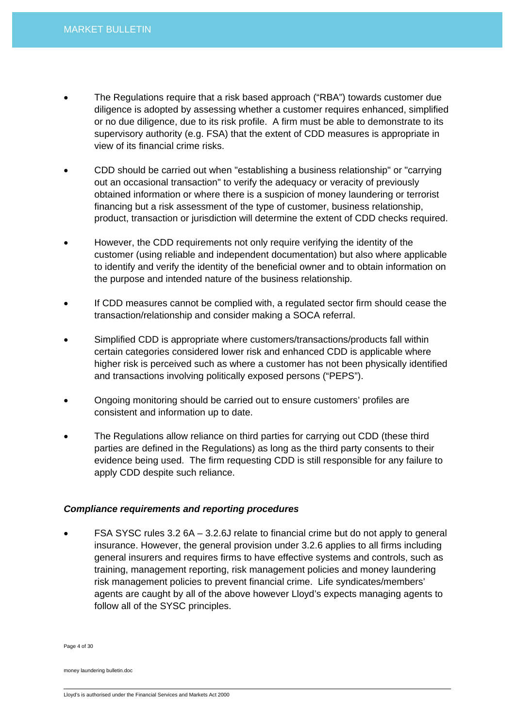- The Regulations require that a risk based approach ("RBA") towards customer due diligence is adopted by assessing whether a customer requires enhanced, simplified or no due diligence, due to its risk profile. A firm must be able to demonstrate to its supervisory authority (e.g. FSA) that the extent of CDD measures is appropriate in view of its financial crime risks.
- CDD should be carried out when "establishing a business relationship" or "carrying out an occasional transaction" to verify the adequacy or veracity of previously obtained information or where there is a suspicion of money laundering or terrorist financing but a risk assessment of the type of customer, business relationship, product, transaction or jurisdiction will determine the extent of CDD checks required.
- However, the CDD requirements not only require verifying the identity of the customer (using reliable and independent documentation) but also where applicable to identify and verify the identity of the beneficial owner and to obtain information on the purpose and intended nature of the business relationship.
- If CDD measures cannot be complied with, a regulated sector firm should cease the transaction/relationship and consider making a SOCA referral.
- Simplified CDD is appropriate where customers/transactions/products fall within certain categories considered lower risk and enhanced CDD is applicable where higher risk is perceived such as where a customer has not been physically identified and transactions involving politically exposed persons ("PEPS").
- Ongoing monitoring should be carried out to ensure customers' profiles are consistent and information up to date.
- The Regulations allow reliance on third parties for carrying out CDD (these third parties are defined in the Regulations) as long as the third party consents to their evidence being used. The firm requesting CDD is still responsible for any failure to apply CDD despite such reliance.

## *Compliance requirements and reporting procedures*

• FSA SYSC rules 3.2 6A – 3.2.6J relate to financial crime but do not apply to general insurance. However, the general provision under 3.2.6 applies to all firms including general insurers and requires firms to have effective systems and controls, such as training, management reporting, risk management policies and money laundering risk management policies to prevent financial crime. Life syndicates/members' agents are caught by all of the above however Lloyd's expects managing agents to follow all of the SYSC principles.

Page 4 of 30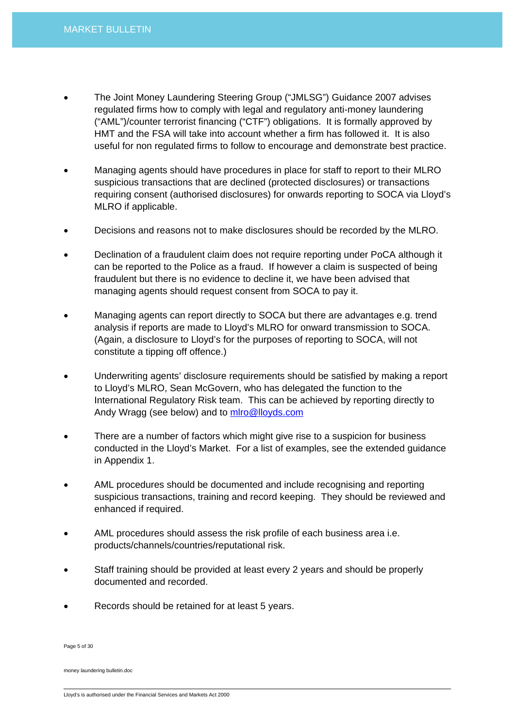- The Joint Money Laundering Steering Group ("JMLSG") Guidance 2007 advises regulated firms how to comply with legal and regulatory anti-money laundering ("AML")/counter terrorist financing ("CTF") obligations. It is formally approved by HMT and the FSA will take into account whether a firm has followed it. It is also useful for non regulated firms to follow to encourage and demonstrate best practice.
- Managing agents should have procedures in place for staff to report to their MLRO suspicious transactions that are declined (protected disclosures) or transactions requiring consent (authorised disclosures) for onwards reporting to SOCA via Lloyd's MLRO if applicable.
- Decisions and reasons not to make disclosures should be recorded by the MLRO.
- Declination of a fraudulent claim does not require reporting under PoCA although it can be reported to the Police as a fraud. If however a claim is suspected of being fraudulent but there is no evidence to decline it, we have been advised that managing agents should request consent from SOCA to pay it.
- Managing agents can report directly to SOCA but there are advantages e.g. trend analysis if reports are made to Lloyd's MLRO for onward transmission to SOCA. (Again, a disclosure to Lloyd's for the purposes of reporting to SOCA, will not constitute a tipping off offence.)
- Underwriting agents' disclosure requirements should be satisfied by making a report to Lloyd's MLRO, Sean McGovern, who has delegated the function to the International Regulatory Risk team. This can be achieved by reporting directly to Andy Wragg (see below) and to [mlro@lloyds.com](mailto:mlro@lloyds.com)
- There are a number of factors which might give rise to a suspicion for business conducted in the Lloyd's Market. For a list of examples, see the extended guidance in Appendix 1.
- AML procedures should be documented and include recognising and reporting suspicious transactions, training and record keeping. They should be reviewed and enhanced if required.
- AML procedures should assess the risk profile of each business area i.e. products/channels/countries/reputational risk.
- Staff training should be provided at least every 2 years and should be properly documented and recorded.
- Records should be retained for at least 5 years.

Page 5 of 30

Lloyd's is authorised under the Financial Services and Markets Act 2000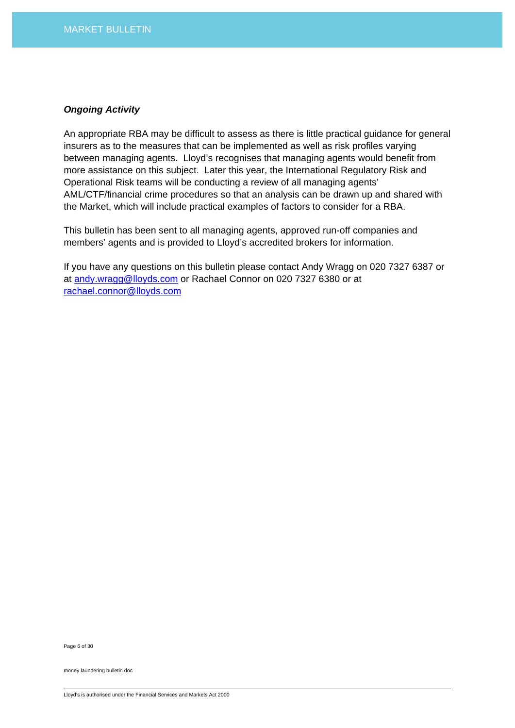### *Ongoing Activity*

An appropriate RBA may be difficult to assess as there is little practical guidance for general insurers as to the measures that can be implemented as well as risk profiles varying between managing agents. Lloyd's recognises that managing agents would benefit from more assistance on this subject. Later this year, the International Regulatory Risk and Operational Risk teams will be conducting a review of all managing agents' AML/CTF/financial crime procedures so that an analysis can be drawn up and shared with the Market, which will include practical examples of factors to consider for a RBA.

This bulletin has been sent to all managing agents, approved run-off companies and members' agents and is provided to Lloyd's accredited brokers for information.

If you have any questions on this bulletin please contact Andy Wragg on 020 7327 6387 or at [andy.wragg@lloyds.com](mailto:andy.wragg@lloyds.com) or Rachael Connor on 020 7327 6380 or at [rachael.connor@lloyds.com](mailto:rachael.connor@lloyds.com)

Page 6 of 30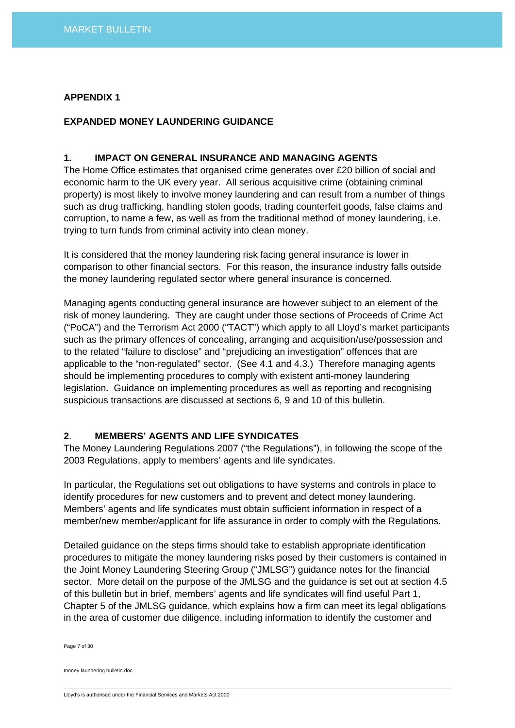## **APPENDIX 1**

## **EXPANDED MONEY LAUNDERING GUIDANCE**

## **1. IMPACT ON GENERAL INSURANCE AND MANAGING AGENTS**

The Home Office estimates that organised crime generates over £20 billion of social and economic harm to the UK every year. All serious acquisitive crime (obtaining criminal property) is most likely to involve money laundering and can result from a number of things such as drug trafficking, handling stolen goods, trading counterfeit goods, false claims and corruption, to name a few, as well as from the traditional method of money laundering, i.e. trying to turn funds from criminal activity into clean money.

It is considered that the money laundering risk facing general insurance is lower in comparison to other financial sectors. For this reason, the insurance industry falls outside the money laundering regulated sector where general insurance is concerned.

Managing agents conducting general insurance are however subject to an element of the risk of money laundering. They are caught under those sections of Proceeds of Crime Act ("PoCA") and the Terrorism Act 2000 ("TACT") which apply to all Lloyd's market participants such as the primary offences of concealing, arranging and acquisition/use/possession and to the related "failure to disclose" and "prejudicing an investigation" offences that are applicable to the "non-regulated" sector. (See 4.1 and 4.3.) Therefore managing agents should be implementing procedures to comply with existent anti-money laundering legislation**.** Guidance on implementing procedures as well as reporting and recognising suspicious transactions are discussed at sections 6, 9 and 10 of this bulletin.

# **2**. **MEMBERS' AGENTS AND LIFE SYNDICATES**

The Money Laundering Regulations 2007 ("the Regulations"), in following the scope of the 2003 Regulations, apply to members' agents and life syndicates.

In particular, the Regulations set out obligations to have systems and controls in place to identify procedures for new customers and to prevent and detect money laundering. Members' agents and life syndicates must obtain sufficient information in respect of a member/new member/applicant for life assurance in order to comply with the Regulations.

Detailed guidance on the steps firms should take to establish appropriate identification procedures to mitigate the money laundering risks posed by their customers is contained in the Joint Money Laundering Steering Group ("JMLSG") guidance notes for the financial sector. More detail on the purpose of the JMLSG and the guidance is set out at section 4.5 of this bulletin but in brief, members' agents and life syndicates will find useful Part 1, Chapter 5 of the JMLSG guidance, which explains how a firm can meet its legal obligations in the area of customer due diligence, including information to identify the customer and

Page 7 of 30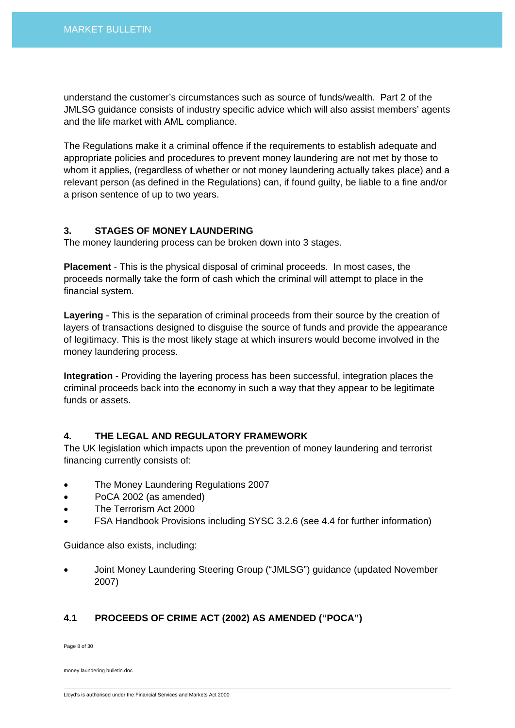understand the customer's circumstances such as source of funds/wealth. Part 2 of the JMLSG guidance consists of industry specific advice which will also assist members' agents and the life market with AML compliance.

The Regulations make it a criminal offence if the requirements to establish adequate and appropriate policies and procedures to prevent money laundering are not met by those to whom it applies, (regardless of whether or not money laundering actually takes place) and a relevant person (as defined in the Regulations) can, if found guilty, be liable to a fine and/or a prison sentence of up to two years.

## **3. STAGES OF MONEY LAUNDERING**

The money laundering process can be broken down into 3 stages.

**Placement** - This is the physical disposal of criminal proceeds. In most cases, the proceeds normally take the form of cash which the criminal will attempt to place in the financial system.

**Layering** - This is the separation of criminal proceeds from their source by the creation of layers of transactions designed to disguise the source of funds and provide the appearance of legitimacy. This is the most likely stage at which insurers would become involved in the money laundering process.

**Integration** - Providing the layering process has been successful, integration places the criminal proceeds back into the economy in such a way that they appear to be legitimate funds or assets.

# **4. THE LEGAL AND REGULATORY FRAMEWORK**

The UK legislation which impacts upon the prevention of money laundering and terrorist financing currently consists of:

- The Money Laundering Regulations 2007
- PoCA 2002 (as amended)
- The Terrorism Act 2000
- FSA Handbook Provisions including SYSC 3.2.6 (see 4.4 for further information)

Guidance also exists, including:

• Joint Money Laundering Steering Group ("JMLSG") guidance (updated November 2007)

# **4.1 PROCEEDS OF CRIME ACT (2002) AS AMENDED ("POCA")**

Page 8 of 30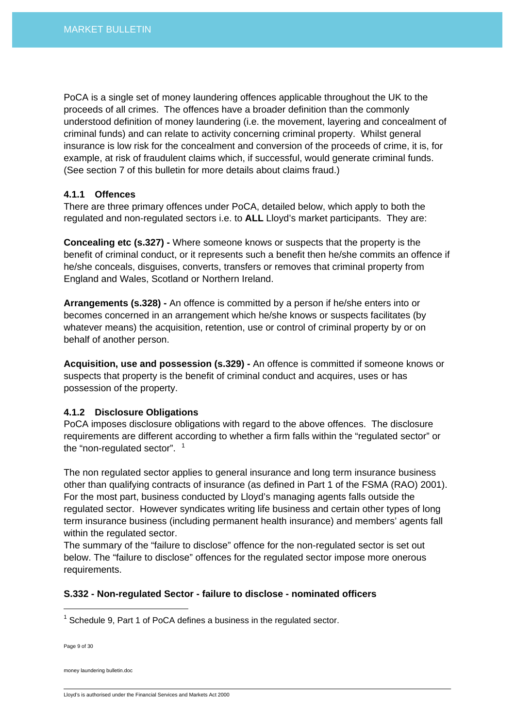PoCA is a single set of money laundering offences applicable throughout the UK to the proceeds of all crimes. The offences have a broader definition than the commonly understood definition of money laundering (i.e. the movement, layering and concealment of criminal funds) and can relate to activity concerning criminal property. Whilst general insurance is low risk for the concealment and conversion of the proceeds of crime, it is, for example, at risk of fraudulent claims which, if successful, would generate criminal funds. (See section 7 of this bulletin for more details about claims fraud.)

## **4.1.1 Offences**

There are three primary offences under PoCA, detailed below, which apply to both the regulated and non-regulated sectors i.e. to **ALL** Lloyd's market participants. They are:

**Concealing etc (s.327) -** Where someone knows or suspects that the property is the benefit of criminal conduct, or it represents such a benefit then he/she commits an offence if he/she conceals, disguises, converts, transfers or removes that criminal property from England and Wales, Scotland or Northern Ireland.

**Arrangements (s.328) -** An offence is committed by a person if he/she enters into or becomes concerned in an arrangement which he/she knows or suspects facilitates (by whatever means) the acquisition, retention, use or control of criminal property by or on behalf of another person.

**Acquisition, use and possession (s.329) -** An offence is committed if someone knows or suspects that property is the benefit of criminal conduct and acquires, uses or has possession of the property.

## **4.1.2 Disclosure Obligations**

PoCA imposes disclosure obligations with regard to the above offences. The disclosure requirements are different according to whether a firm falls within the "regulated sector" or the "non-regulated sector".  $1$ 

The non regulated sector applies to general insurance and long term insurance business other than qualifying contracts of insurance (as defined in Part 1 of the FSMA (RAO) 2001). For the most part, business conducted by Lloyd's managing agents falls outside the regulated sector. However syndicates writing life business and certain other types of long term insurance business (including permanent health insurance) and members' agents fall within the regulated sector.

The summary of the "failure to disclose" offence for the non-regulated sector is set out below. The "failure to disclose" offences for the regulated sector impose more onerous requirements.

## **S.332 - Non-regulated Sector - failure to disclose - nominated officers**

Page 9 of 30

 $\overline{a}$ 

<span id="page-8-0"></span> $1$  Schedule 9, Part 1 of PoCA defines a business in the regulated sector.

Lloyd's is authorised under the Financial Services and Markets Act 2000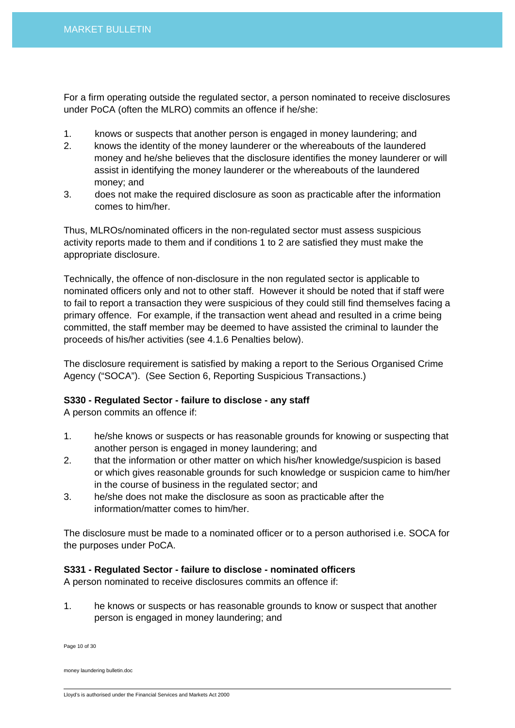For a firm operating outside the regulated sector, a person nominated to receive disclosures under PoCA (often the MLRO) commits an offence if he/she:

- 1. knows or suspects that another person is engaged in money laundering; and
- 2. knows the identity of the money launderer or the whereabouts of the laundered money and he/she believes that the disclosure identifies the money launderer or will assist in identifying the money launderer or the whereabouts of the laundered money; and
- 3. does not make the required disclosure as soon as practicable after the information comes to him/her.

Thus, MLROs/nominated officers in the non-regulated sector must assess suspicious activity reports made to them and if conditions 1 to 2 are satisfied they must make the appropriate disclosure.

Technically, the offence of non-disclosure in the non regulated sector is applicable to nominated officers only and not to other staff. However it should be noted that if staff were to fail to report a transaction they were suspicious of they could still find themselves facing a primary offence. For example, if the transaction went ahead and resulted in a crime being committed, the staff member may be deemed to have assisted the criminal to launder the proceeds of his/her activities (see 4.1.6 Penalties below).

The disclosure requirement is satisfied by making a report to the Serious Organised Crime Agency ("SOCA"). (See Section 6, Reporting Suspicious Transactions.)

# **S330 - Regulated Sector - failure to disclose - any staff**

A person commits an offence if:

- 1. he/she knows or suspects or has reasonable grounds for knowing or suspecting that another person is engaged in money laundering; and
- 2. that the information or other matter on which his/her knowledge/suspicion is based or which gives reasonable grounds for such knowledge or suspicion came to him/her in the course of business in the regulated sector; and
- 3. he/she does not make the disclosure as soon as practicable after the information/matter comes to him/her.

The disclosure must be made to a nominated officer or to a person authorised i.e. SOCA for the purposes under PoCA.

# **S331 - Regulated Sector - failure to disclose - nominated officers**

A person nominated to receive disclosures commits an offence if:

1. he knows or suspects or has reasonable grounds to know or suspect that another person is engaged in money laundering; and

Page 10 of 30

Lloyd's is authorised under the Financial Services and Markets Act 2000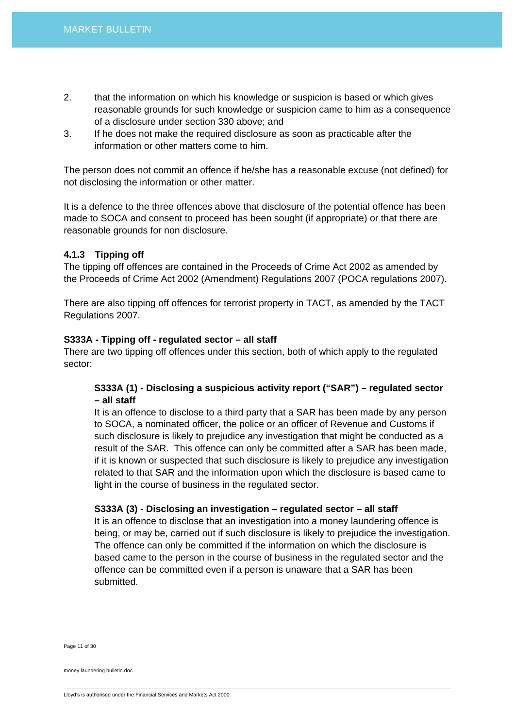- 2. that the information on which his knowledge or suspicion is based or which gives reasonable grounds for such knowledge or suspicion came to him as a consequence of a disclosure under section 330 above; and
- 3. If he does not make the required disclosure as soon as practicable after the information or other matters come to him.

The person does not commit an offence if he/she has a reasonable excuse (not defined) for not disclosing the information or other matter.

It is a defence to the three offences above that disclosure of the potential offence has been made to SOCA and consent to proceed has been sought (if appropriate) or that there are reasonable grounds for non disclosure.

## **4.1.3 Tipping off**

The tipping off offences are contained in the Proceeds of Crime Act 2002 as amended by the Proceeds of Crime Act 2002 (Amendment) Regulations 2007 (POCA regulations 2007).

There are also tipping off offences for terrorist property in TACT, as amended by the TACT Regulations 2007.

## **S333A - Tipping off - regulated sector – all staff**

There are two tipping off offences under this section, both of which apply to the regulated sector:

# **S333A (1) - Disclosing a suspicious activity report ("SAR") – regulated sector – all staff**

It is an offence to disclose to a third party that a SAR has been made by any person to SOCA, a nominated officer, the police or an officer of Revenue and Customs if such disclosure is likely to prejudice any investigation that might be conducted as a result of the SAR. This offence can only be committed after a SAR has been made, if it is known or suspected that such disclosure is likely to prejudice any investigation related to that SAR and the information upon which the disclosure is based came to light in the course of business in the regulated sector.

## **S333A (3) - Disclosing an investigation – regulated sector – all staff**

It is an offence to disclose that an investigation into a money laundering offence is being, or may be, carried out if such disclosure is likely to prejudice the investigation. The offence can only be committed if the information on which the disclosure is based came to the person in the course of business in the regulated sector and the offence can be committed even if a person is unaware that a SAR has been submitted.

Page 11 of 30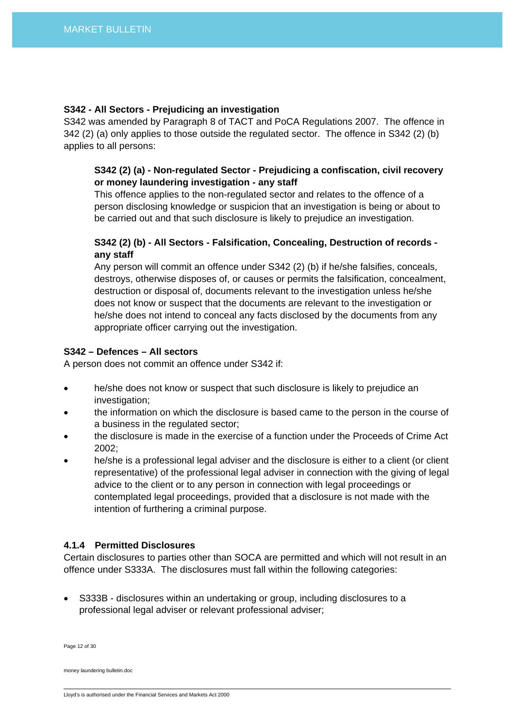## **S342 - All Sectors - Prejudicing an investigation**

S342 was amended by Paragraph 8 of TACT and PoCA Regulations 2007. The offence in 342 (2) (a) only applies to those outside the regulated sector. The offence in S342 (2) (b) applies to all persons:

# **S342 (2) (a) - Non-regulated Sector - Prejudicing a confiscation, civil recovery or money laundering investigation - any staff**

This offence applies to the non-regulated sector and relates to the offence of a person disclosing knowledge or suspicion that an investigation is being or about to be carried out and that such disclosure is likely to prejudice an investigation.

# **S342 (2) (b) - All Sectors - Falsification, Concealing, Destruction of records any staff**

Any person will commit an offence under S342 (2) (b) if he/she falsifies, conceals, destroys, otherwise disposes of, or causes or permits the falsification, concealment, destruction or disposal of, documents relevant to the investigation unless he/she does not know or suspect that the documents are relevant to the investigation or he/she does not intend to conceal any facts disclosed by the documents from any appropriate officer carrying out the investigation.

## **S342 – Defences – All sectors**

A person does not commit an offence under S342 if:

- he/she does not know or suspect that such disclosure is likely to prejudice an investigation;
- the information on which the disclosure is based came to the person in the course of a business in the regulated sector;
- the disclosure is made in the exercise of a function under the Proceeds of Crime Act 2002;
- he/she is a professional legal adviser and the disclosure is either to a client (or client representative) of the professional legal adviser in connection with the giving of legal advice to the client or to any person in connection with legal proceedings or contemplated legal proceedings, provided that a disclosure is not made with the intention of furthering a criminal purpose.

# **4.1.4 Permitted Disclosures**

Certain disclosures to parties other than SOCA are permitted and which will not result in an offence under S333A. The disclosures must fall within the following categories:

• S333B - disclosures within an undertaking or group, including disclosures to a professional legal adviser or relevant professional adviser;

Page 12 of 30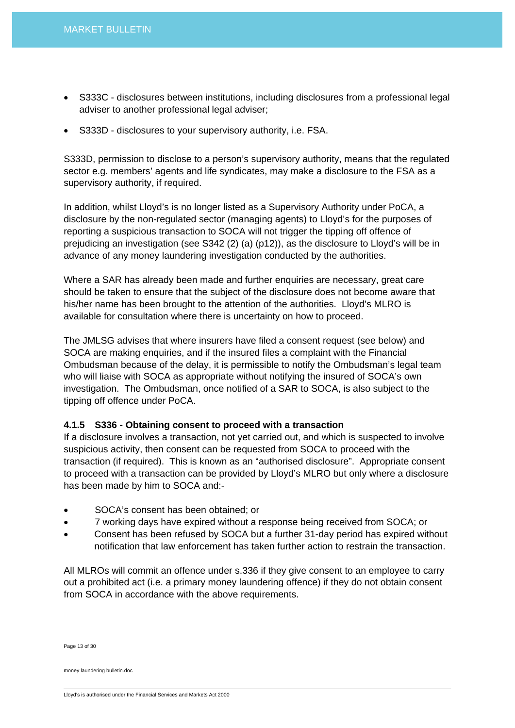- S333C disclosures between institutions, including disclosures from a professional legal adviser to another professional legal adviser;
- S333D disclosures to your supervisory authority, i.e. FSA.

S333D, permission to disclose to a person's supervisory authority, means that the regulated sector e.g. members' agents and life syndicates, may make a disclosure to the FSA as a supervisory authority, if required.

In addition, whilst Lloyd's is no longer listed as a Supervisory Authority under PoCA, a disclosure by the non-regulated sector (managing agents) to Lloyd's for the purposes of reporting a suspicious transaction to SOCA will not trigger the tipping off offence of prejudicing an investigation (see S342 (2) (a) (p12)), as the disclosure to Lloyd's will be in advance of any money laundering investigation conducted by the authorities.

Where a SAR has already been made and further enquiries are necessary, great care should be taken to ensure that the subject of the disclosure does not become aware that his/her name has been brought to the attention of the authorities. Lloyd's MLRO is available for consultation where there is uncertainty on how to proceed.

The JMLSG advises that where insurers have filed a consent request (see below) and SOCA are making enquiries, and if the insured files a complaint with the Financial Ombudsman because of the delay, it is permissible to notify the Ombudsman's legal team who will liaise with SOCA as appropriate without notifying the insured of SOCA's own investigation. The Ombudsman, once notified of a SAR to SOCA, is also subject to the tipping off offence under PoCA.

# **4.1.5 S336 - Obtaining consent to proceed with a transaction**

If a disclosure involves a transaction, not yet carried out, and which is suspected to involve suspicious activity, then consent can be requested from SOCA to proceed with the transaction (if required). This is known as an "authorised disclosure". Appropriate consent to proceed with a transaction can be provided by Lloyd's MLRO but only where a disclosure has been made by him to SOCA and:-

- SOCA's consent has been obtained; or
- 7 working days have expired without a response being received from SOCA; or
- Consent has been refused by SOCA but a further 31-day period has expired without notification that law enforcement has taken further action to restrain the transaction.

All MLROs will commit an offence under s.336 if they give consent to an employee to carry out a prohibited act (i.e. a primary money laundering offence) if they do not obtain consent from SOCA in accordance with the above requirements.

Page 13 of 30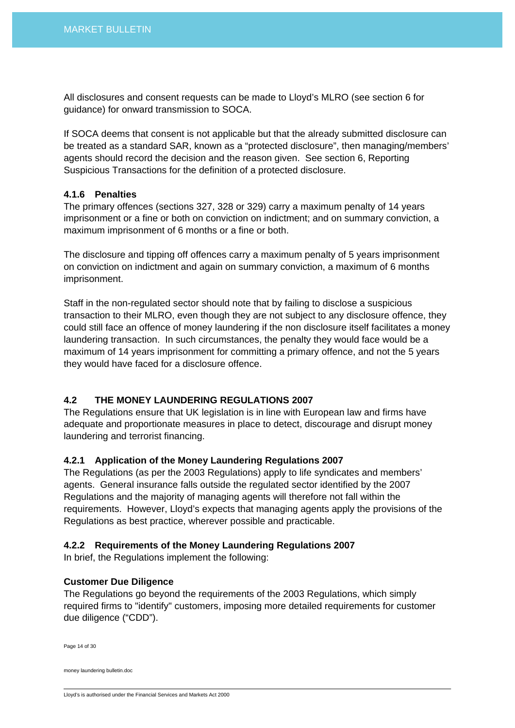All disclosures and consent requests can be made to Lloyd's MLRO (see section 6 for guidance) for onward transmission to SOCA.

If SOCA deems that consent is not applicable but that the already submitted disclosure can be treated as a standard SAR, known as a "protected disclosure", then managing/members' agents should record the decision and the reason given. See section 6, Reporting Suspicious Transactions for the definition of a protected disclosure.

## **4.1.6 Penalties**

The primary offences (sections 327, 328 or 329) carry a maximum penalty of 14 years imprisonment or a fine or both on conviction on indictment; and on summary conviction, a maximum imprisonment of 6 months or a fine or both.

The disclosure and tipping off offences carry a maximum penalty of 5 years imprisonment on conviction on indictment and again on summary conviction, a maximum of 6 months imprisonment.

Staff in the non-regulated sector should note that by failing to disclose a suspicious transaction to their MLRO, even though they are not subject to any disclosure offence, they could still face an offence of money laundering if the non disclosure itself facilitates a money laundering transaction. In such circumstances, the penalty they would face would be a maximum of 14 years imprisonment for committing a primary offence, and not the 5 years they would have faced for a disclosure offence.

# **4.2 THE MONEY LAUNDERING REGULATIONS 2007**

The Regulations ensure that UK legislation is in line with European law and firms have adequate and proportionate measures in place to detect, discourage and disrupt money laundering and terrorist financing.

## **4.2.1 Application of the Money Laundering Regulations 2007**

The Regulations (as per the 2003 Regulations) apply to life syndicates and members' agents. General insurance falls outside the regulated sector identified by the 2007 Regulations and the majority of managing agents will therefore not fall within the requirements. However, Lloyd's expects that managing agents apply the provisions of the Regulations as best practice, wherever possible and practicable.

## **4.2.2 Requirements of the Money Laundering Regulations 2007**

In brief, the Regulations implement the following:

## **Customer Due Diligence**

The Regulations go beyond the requirements of the 2003 Regulations, which simply required firms to "identify" customers, imposing more detailed requirements for customer due diligence ("CDD").

Page 14 of 30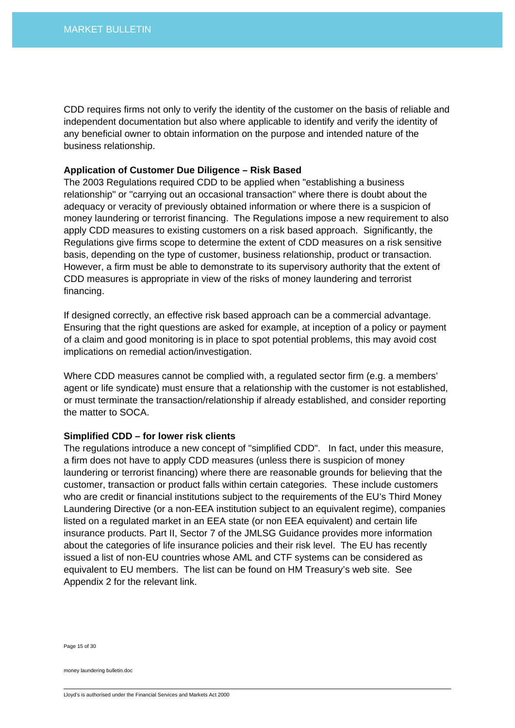CDD requires firms not only to verify the identity of the customer on the basis of reliable and independent documentation but also where applicable to identify and verify the identity of any beneficial owner to obtain information on the purpose and intended nature of the business relationship.

#### **Application of Customer Due Diligence – Risk Based**

The 2003 Regulations required CDD to be applied when "establishing a business relationship" or "carrying out an occasional transaction" where there is doubt about the adequacy or veracity of previously obtained information or where there is a suspicion of money laundering or terrorist financing. The Regulations impose a new requirement to also apply CDD measures to existing customers on a risk based approach. Significantly, the Regulations give firms scope to determine the extent of CDD measures on a risk sensitive basis, depending on the type of customer, business relationship, product or transaction. However, a firm must be able to demonstrate to its supervisory authority that the extent of CDD measures is appropriate in view of the risks of money laundering and terrorist financing.

If designed correctly, an effective risk based approach can be a commercial advantage. Ensuring that the right questions are asked for example, at inception of a policy or payment of a claim and good monitoring is in place to spot potential problems, this may avoid cost implications on remedial action/investigation.

Where CDD measures cannot be complied with, a regulated sector firm (e.g. a members' agent or life syndicate) must ensure that a relationship with the customer is not established, or must terminate the transaction/relationship if already established, and consider reporting the matter to SOCA.

#### **Simplified CDD – for lower risk clients**

The regulations introduce a new concept of "simplified CDD". In fact, under this measure, a firm does not have to apply CDD measures (unless there is suspicion of money laundering or terrorist financing) where there are reasonable grounds for believing that the customer, transaction or product falls within certain categories. These include customers who are credit or financial institutions subject to the requirements of the EU's Third Money Laundering Directive (or a non-EEA institution subject to an equivalent regime), companies listed on a regulated market in an EEA state (or non EEA equivalent) and certain life insurance products. Part II, Sector 7 of the JMLSG Guidance provides more information about the categories of life insurance policies and their risk level. The EU has recently issued a list of non-EU countries whose AML and CTF systems can be considered as equivalent to EU members. The list can be found on HM Treasury's web site. See Appendix 2 for the relevant link.

Page 15 of 30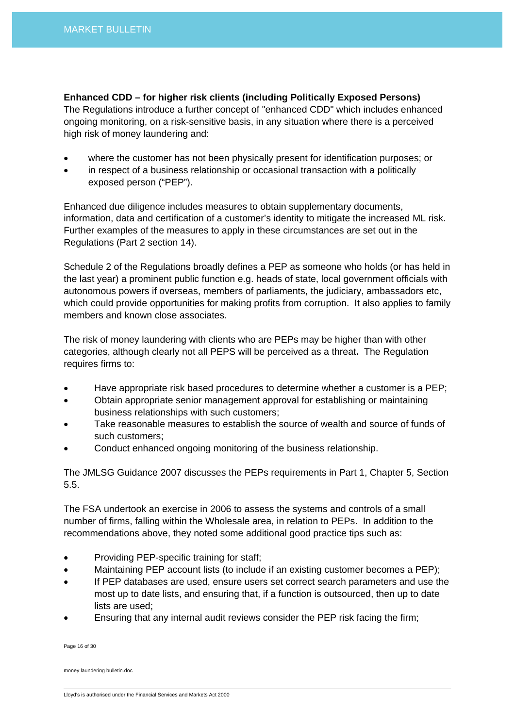**Enhanced CDD – for higher risk clients (including Politically Exposed Persons)** 

The Regulations introduce a further concept of "enhanced CDD" which includes enhanced ongoing monitoring, on a risk-sensitive basis, in any situation where there is a perceived high risk of money laundering and:

- where the customer has not been physically present for identification purposes; or
- in respect of a business relationship or occasional transaction with a politically exposed person ("PEP").

Enhanced due diligence includes measures to obtain supplementary documents, information, data and certification of a customer's identity to mitigate the increased ML risk. Further examples of the measures to apply in these circumstances are set out in the Regulations (Part 2 section 14).

Schedule 2 of the Regulations broadly defines a PEP as someone who holds (or has held in the last year) a prominent public function e.g. heads of state, local government officials with autonomous powers if overseas, members of parliaments, the judiciary, ambassadors etc, which could provide opportunities for making profits from corruption. It also applies to family members and known close associates.

The risk of money laundering with clients who are PEPs may be higher than with other categories, although clearly not all PEPS will be perceived as a threat**.** The Regulation requires firms to:

- Have appropriate risk based procedures to determine whether a customer is a PEP;
- Obtain appropriate senior management approval for establishing or maintaining business relationships with such customers;
- Take reasonable measures to establish the source of wealth and source of funds of such customers;
- Conduct enhanced ongoing monitoring of the business relationship.

The JMLSG Guidance 2007 discusses the PEPs requirements in Part 1, Chapter 5, Section 5.5.

The FSA undertook an exercise in 2006 to assess the systems and controls of a small number of firms, falling within the Wholesale area, in relation to PEPs. In addition to the recommendations above, they noted some additional good practice tips such as:

- Providing PEP-specific training for staff;
- Maintaining PEP account lists (to include if an existing customer becomes a PEP);
- If PEP databases are used, ensure users set correct search parameters and use the most up to date lists, and ensuring that, if a function is outsourced, then up to date lists are used;
- Ensuring that any internal audit reviews consider the PEP risk facing the firm;

Page 16 of 30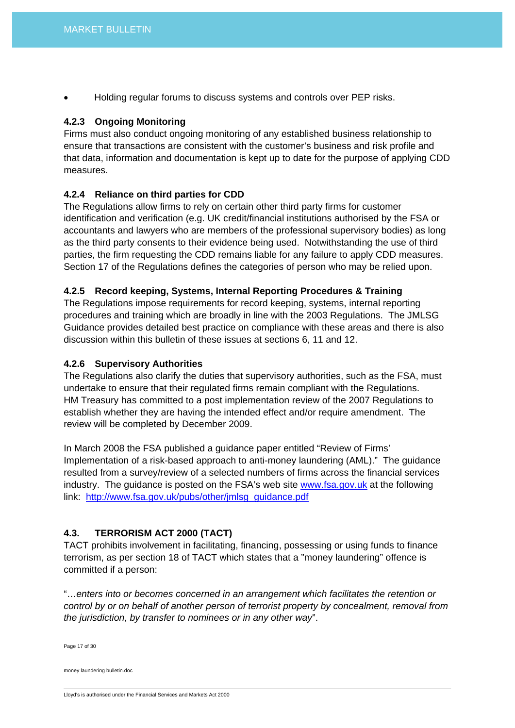• Holding regular forums to discuss systems and controls over PEP risks.

## **4.2.3 Ongoing Monitoring**

Firms must also conduct ongoing monitoring of any established business relationship to ensure that transactions are consistent with the customer's business and risk profile and that data, information and documentation is kept up to date for the purpose of applying CDD measures.

# **4.2.4 Reliance on third parties for CDD**

The Regulations allow firms to rely on certain other third party firms for customer identification and verification (e.g. UK credit/financial institutions authorised by the FSA or accountants and lawyers who are members of the professional supervisory bodies) as long as the third party consents to their evidence being used. Notwithstanding the use of third parties, the firm requesting the CDD remains liable for any failure to apply CDD measures. Section 17 of the Regulations defines the categories of person who may be relied upon.

## **4.2.5 Record keeping, Systems, Internal Reporting Procedures & Training**

The Regulations impose requirements for record keeping, systems, internal reporting procedures and training which are broadly in line with the 2003 Regulations. The JMLSG Guidance provides detailed best practice on compliance with these areas and there is also discussion within this bulletin of these issues at sections 6, 11 and 12.

## **4.2.6 Supervisory Authorities**

The Regulations also clarify the duties that supervisory authorities, such as the FSA, must undertake to ensure that their regulated firms remain compliant with the Regulations. HM Treasury has committed to a post implementation review of the 2007 Regulations to establish whether they are having the intended effect and/or require amendment. The review will be completed by December 2009.

In March 2008 the FSA published a guidance paper entitled "Review of Firms' Implementation of a risk-based approach to anti-money laundering (AML)." The guidance resulted from a survey/review of a selected numbers of firms across the financial services industry. The guidance is posted on the FSA's web site [www.fsa.gov.uk](http://www.fsa.gov.uk/) at the following link: [http://www.fsa.gov.uk/pubs/other/jmlsg\\_guidance.pdf](http://www.fsa.gov.uk/pubs/other/jmlsg_guidance.pdf)

# **4.3. TERRORISM ACT 2000 (TACT)**

TACT prohibits involvement in facilitating, financing, possessing or using funds to finance terrorism, as per section 18 of TACT which states that a "money laundering" offence is committed if a person:

"…*enters into or becomes concerned in an arrangement which facilitates the retention or control by or on behalf of another person of terrorist property by concealment, removal from the jurisdiction, by transfer to nominees or in any other way*".

Page 17 of 30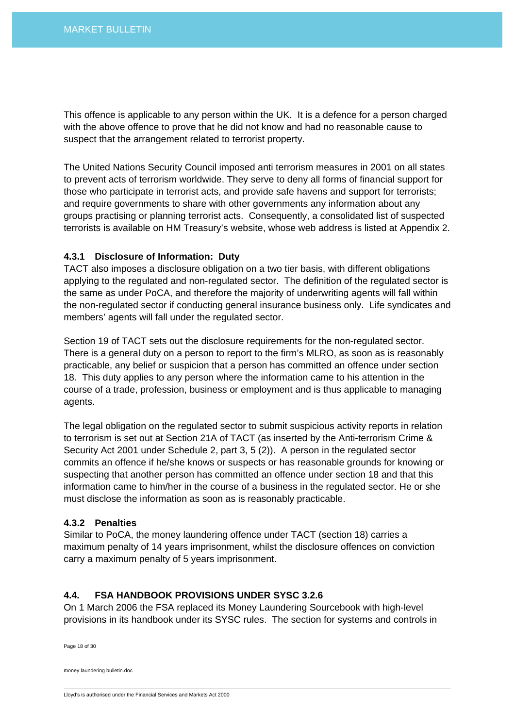This offence is applicable to any person within the UK. It is a defence for a person charged with the above offence to prove that he did not know and had no reasonable cause to suspect that the arrangement related to terrorist property.

The United Nations Security Council imposed anti terrorism measures in 2001 on all states to prevent acts of terrorism worldwide. They serve to deny all forms of financial support for those who participate in terrorist acts, and provide safe havens and support for terrorists; and require governments to share with other governments any information about any groups practising or planning terrorist acts. Consequently, a consolidated list of suspected terrorists is available on HM Treasury's website, whose web address is listed at Appendix 2.

## **4.3.1 Disclosure of Information: Duty**

TACT also imposes a disclosure obligation on a two tier basis, with different obligations applying to the regulated and non-regulated sector. The definition of the regulated sector is the same as under PoCA, and therefore the majority of underwriting agents will fall within the non-regulated sector if conducting general insurance business only. Life syndicates and members' agents will fall under the regulated sector.

Section 19 of TACT sets out the disclosure requirements for the non-regulated sector. There is a general duty on a person to report to the firm's MLRO, as soon as is reasonably practicable, any belief or suspicion that a person has committed an offence under section 18. This duty applies to any person where the information came to his attention in the course of a trade, profession, business or employment and is thus applicable to managing agents.

The legal obligation on the regulated sector to submit suspicious activity reports in relation to terrorism is set out at Section 21A of TACT (as inserted by the Anti-terrorism Crime & Security Act 2001 under Schedule 2, part 3, 5 (2)). A person in the regulated sector commits an offence if he/she knows or suspects or has reasonable grounds for knowing or suspecting that another person has committed an offence under section 18 and that this information came to him/her in the course of a business in the regulated sector. He or she must disclose the information as soon as is reasonably practicable.

#### **4.3.2 Penalties**

Similar to PoCA, the money laundering offence under TACT (section 18) carries a maximum penalty of 14 years imprisonment, whilst the disclosure offences on conviction carry a maximum penalty of 5 years imprisonment.

## **4.4. FSA HANDBOOK PROVISIONS UNDER SYSC 3.2.6**

On 1 March 2006 the FSA replaced its Money Laundering Sourcebook with high-level provisions in its handbook under its SYSC rules. The section for systems and controls in

Page 18 of 30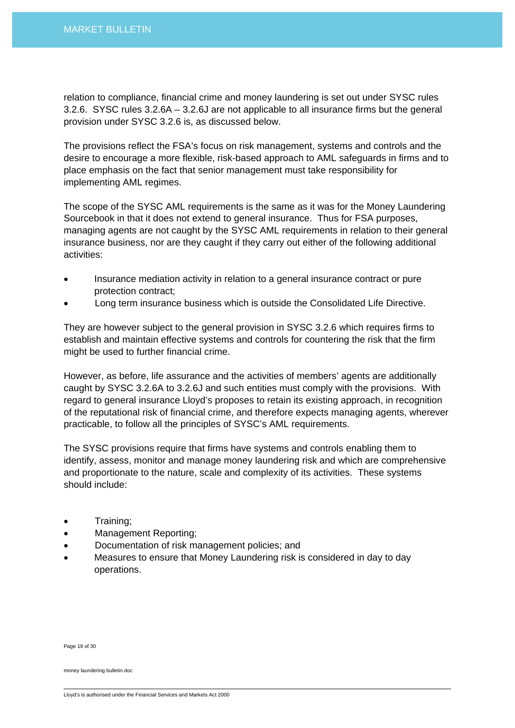relation to compliance, financial crime and money laundering is set out under SYSC rules 3.2.6. SYSC rules 3.2.6A – 3.2.6J are not applicable to all insurance firms but the general provision under SYSC 3.2.6 is, as discussed below.

The provisions reflect the FSA's focus on risk management, systems and controls and the desire to encourage a more flexible, risk-based approach to AML safeguards in firms and to place emphasis on the fact that senior management must take responsibility for implementing AML regimes.

The scope of the SYSC AML requirements is the same as it was for the Money Laundering Sourcebook in that it does not extend to general insurance. Thus for FSA purposes, managing agents are not caught by the SYSC AML requirements in relation to their general insurance business, nor are they caught if they carry out either of the following additional activities:

- Insurance mediation activity in relation to a general insurance contract or pure protection contract;
- Long term insurance business which is outside the Consolidated Life Directive.

They are however subject to the general provision in SYSC 3.2.6 which requires firms to establish and maintain effective systems and controls for countering the risk that the firm might be used to further financial crime.

However, as before, life assurance and the activities of members' agents are additionally caught by SYSC 3.2.6A to 3.2.6J and such entities must comply with the provisions. With regard to general insurance Lloyd's proposes to retain its existing approach, in recognition of the reputational risk of financial crime, and therefore expects managing agents, wherever practicable, to follow all the principles of SYSC's AML requirements.

The SYSC provisions require that firms have systems and controls enabling them to identify, assess, monitor and manage money laundering risk and which are comprehensive and proportionate to the nature, scale and complexity of its activities. These systems should include:

- Training;
- Management Reporting;
- Documentation of risk management policies; and
- Measures to ensure that Money Laundering risk is considered in day to day operations.

Page 19 of 30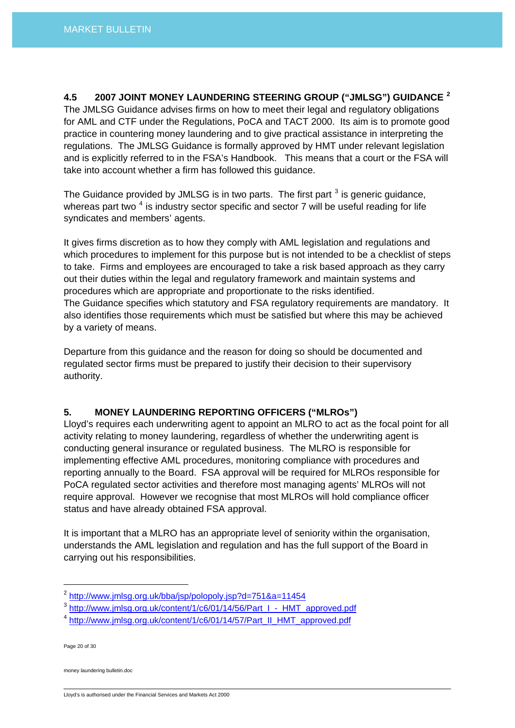**4.5 2007 JOINT MONEY LAUNDERING STEERING GROUP ("JMLSG") GUIDANCE [2](#page-19-0)**  The JMLSG Guidance advises firms on how to meet their legal and regulatory obligations for AML and CTF under the Regulations, PoCA and TACT 2000. Its aim is to promote good practice in countering money laundering and to give practical assistance in interpreting the regulations. The JMLSG Guidance is formally approved by HMT under relevant legislation and is explicitly referred to in the FSA's Handbook. This means that a court or the FSA will take into account whether a firm has followed this guidance.

The Guidance provided by JMLSG is in two parts. The first part  $^3$  $^3$  is generic guidance, whereas part two  $^4$  $^4$  is industry sector specific and sector 7 will be useful reading for life syndicates and members' agents.

It gives firms discretion as to how they comply with AML legislation and regulations and which procedures to implement for this purpose but is not intended to be a checklist of steps to take. Firms and employees are encouraged to take a risk based approach as they carry out their duties within the legal and regulatory framework and maintain systems and procedures which are appropriate and proportionate to the risks identified. The Guidance specifies which statutory and FSA regulatory requirements are mandatory. It also identifies those requirements which must be satisfied but where this may be achieved by a variety of means.

Departure from this guidance and the reason for doing so should be documented and regulated sector firms must be prepared to justify their decision to their supervisory authority.

# **5. MONEY LAUNDERING REPORTING OFFICERS ("MLROs")**

Lloyd's requires each underwriting agent to appoint an MLRO to act as the focal point for all activity relating to money laundering, regardless of whether the underwriting agent is conducting general insurance or regulated business. The MLRO is responsible for implementing effective AML procedures, monitoring compliance with procedures and reporting annually to the Board. FSA approval will be required for MLROs responsible for PoCA regulated sector activities and therefore most managing agents' MLROs will not require approval. However we recognise that most MLROs will hold compliance officer status and have already obtained FSA approval.

It is important that a MLRO has an appropriate level of seniority within the organisation, understands the AML legislation and regulation and has the full support of the Board in carrying out his responsibilities.

Page 20 of 30

money laundering bulletin.doc

Lloyd's is authorised under the Financial Services and Markets Act 2000

<span id="page-19-0"></span><sup>2</sup> <http://www.jmlsg.org.uk/bba/jsp/polopoly.jsp?d=751&a=11454>

<span id="page-19-1"></span><sup>&</sup>lt;sup>3</sup> [http://www.jmlsg.org.uk/content/1/c6/01/14/56/Part\\_I\\_-\\_HMT\\_approved.pdf](http://www.jmlsg.org.uk/content/1/c6/01/14/56/Part_I_-_HMT_approved.pdf)

<span id="page-19-2"></span><sup>4</sup> [http://www.jmlsg.org.uk/content/1/c6/01/14/57/Part\\_II\\_HMT\\_approved.pdf](http://www.jmlsg.org.uk/content/1/c6/01/14/57/Part_II_HMT_approved.pdf)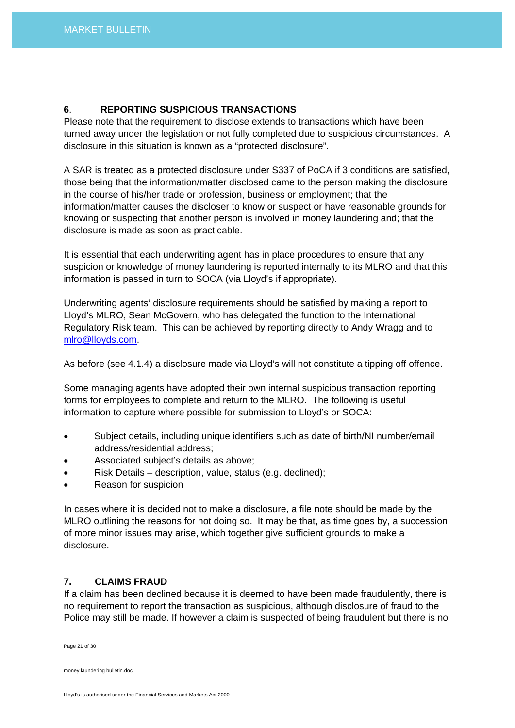# **6**. **REPORTING SUSPICIOUS TRANSACTIONS**

Please note that the requirement to disclose extends to transactions which have been turned away under the legislation or not fully completed due to suspicious circumstances. A disclosure in this situation is known as a "protected disclosure".

A SAR is treated as a protected disclosure under S337 of PoCA if 3 conditions are satisfied, those being that the information/matter disclosed came to the person making the disclosure in the course of his/her trade or profession, business or employment; that the information/matter causes the discloser to know or suspect or have reasonable grounds for knowing or suspecting that another person is involved in money laundering and; that the disclosure is made as soon as practicable.

It is essential that each underwriting agent has in place procedures to ensure that any suspicion or knowledge of money laundering is reported internally to its MLRO and that this information is passed in turn to SOCA (via Lloyd's if appropriate).

Underwriting agents' disclosure requirements should be satisfied by making a report to Lloyd's MLRO, Sean McGovern, who has delegated the function to the International Regulatory Risk team. This can be achieved by reporting directly to Andy Wragg and to [mlro@lloyds.com](mailto:mlro@lloyds.com).

As before (see 4.1.4) a disclosure made via Lloyd's will not constitute a tipping off offence.

Some managing agents have adopted their own internal suspicious transaction reporting forms for employees to complete and return to the MLRO. The following is useful information to capture where possible for submission to Lloyd's or SOCA:

- Subject details, including unique identifiers such as date of birth/NI number/email address/residential address;
- Associated subject's details as above;
- Risk Details description, value, status (e.g. declined);
- Reason for suspicion

In cases where it is decided not to make a disclosure, a file note should be made by the MLRO outlining the reasons for not doing so. It may be that, as time goes by, a succession of more minor issues may arise, which together give sufficient grounds to make a disclosure.

## **7. CLAIMS FRAUD**

If a claim has been declined because it is deemed to have been made fraudulently, there is no requirement to report the transaction as suspicious, although disclosure of fraud to the Police may still be made. If however a claim is suspected of being fraudulent but there is no

Page 21 of 30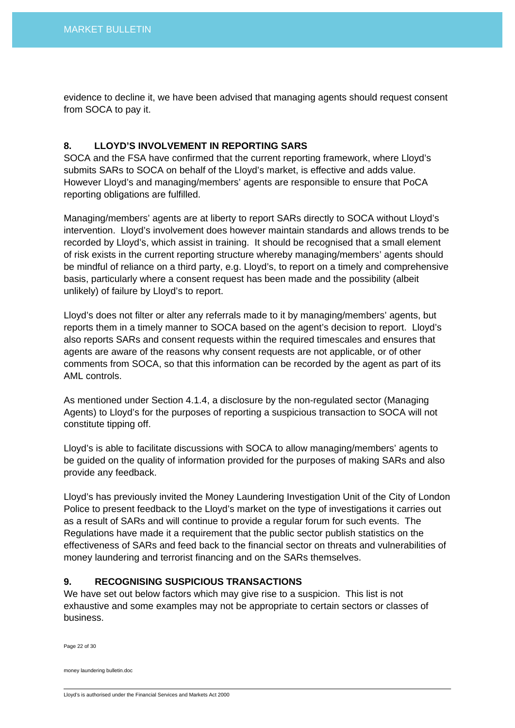evidence to decline it, we have been advised that managing agents should request consent from SOCA to pay it.

## **8. LLOYD'S INVOLVEMENT IN REPORTING SARS**

SOCA and the FSA have confirmed that the current reporting framework, where Lloyd's submits SARs to SOCA on behalf of the Lloyd's market, is effective and adds value. However Lloyd's and managing/members' agents are responsible to ensure that PoCA reporting obligations are fulfilled.

Managing/members' agents are at liberty to report SARs directly to SOCA without Lloyd's intervention. Lloyd's involvement does however maintain standards and allows trends to be recorded by Lloyd's, which assist in training. It should be recognised that a small element of risk exists in the current reporting structure whereby managing/members' agents should be mindful of reliance on a third party, e.g. Lloyd's, to report on a timely and comprehensive basis, particularly where a consent request has been made and the possibility (albeit unlikely) of failure by Lloyd's to report.

Lloyd's does not filter or alter any referrals made to it by managing/members' agents, but reports them in a timely manner to SOCA based on the agent's decision to report. Lloyd's also reports SARs and consent requests within the required timescales and ensures that agents are aware of the reasons why consent requests are not applicable, or of other comments from SOCA, so that this information can be recorded by the agent as part of its AML controls.

As mentioned under Section 4.1.4, a disclosure by the non-regulated sector (Managing Agents) to Lloyd's for the purposes of reporting a suspicious transaction to SOCA will not constitute tipping off.

Lloyd's is able to facilitate discussions with SOCA to allow managing/members' agents to be guided on the quality of information provided for the purposes of making SARs and also provide any feedback.

Lloyd's has previously invited the Money Laundering Investigation Unit of the City of London Police to present feedback to the Lloyd's market on the type of investigations it carries out as a result of SARs and will continue to provide a regular forum for such events. The Regulations have made it a requirement that the public sector publish statistics on the effectiveness of SARs and feed back to the financial sector on threats and vulnerabilities of money laundering and terrorist financing and on the SARs themselves.

# **9. RECOGNISING SUSPICIOUS TRANSACTIONS**

We have set out below factors which may give rise to a suspicion. This list is not exhaustive and some examples may not be appropriate to certain sectors or classes of business.

Page 22 of 30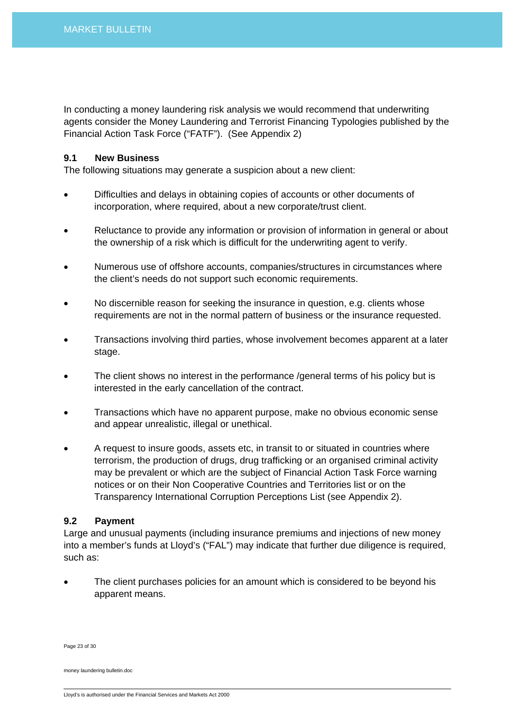In conducting a money laundering risk analysis we would recommend that underwriting agents consider the Money Laundering and Terrorist Financing Typologies published by the Financial Action Task Force ("FATF"). (See Appendix 2)

## **9.1 New Business**

The following situations may generate a suspicion about a new client:

- Difficulties and delays in obtaining copies of accounts or other documents of incorporation, where required, about a new corporate/trust client.
- Reluctance to provide any information or provision of information in general or about the ownership of a risk which is difficult for the underwriting agent to verify.
- Numerous use of offshore accounts, companies/structures in circumstances where the client's needs do not support such economic requirements.
- No discernible reason for seeking the insurance in question, e.g. clients whose requirements are not in the normal pattern of business or the insurance requested.
- Transactions involving third parties, whose involvement becomes apparent at a later stage.
- The client shows no interest in the performance /general terms of his policy but is interested in the early cancellation of the contract.
- Transactions which have no apparent purpose, make no obvious economic sense and appear unrealistic, illegal or unethical.
- A request to insure goods, assets etc, in transit to or situated in countries where terrorism, the production of drugs, drug trafficking or an organised criminal activity may be prevalent or which are the subject of Financial Action Task Force warning notices or on their Non Cooperative Countries and Territories list or on the Transparency International Corruption Perceptions List (see Appendix 2).

## **9.2 Payment**

Large and unusual payments (including insurance premiums and injections of new money into a member's funds at Lloyd's ("FAL") may indicate that further due diligence is required, such as:

The client purchases policies for an amount which is considered to be beyond his apparent means.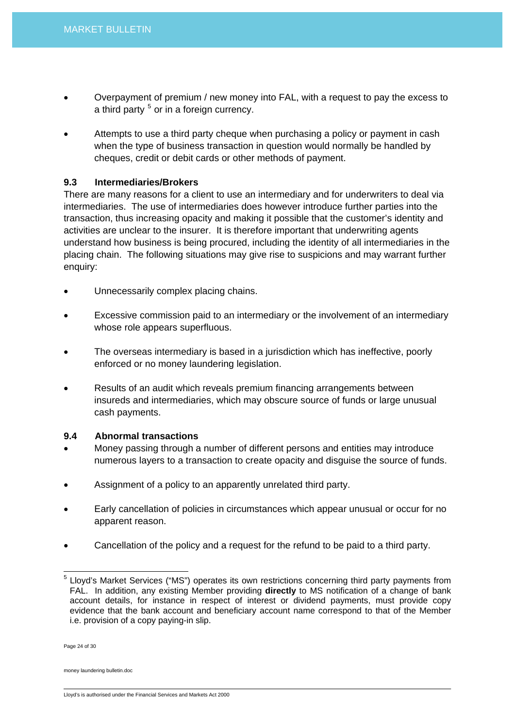- Overpayment of premium / new money into FAL, with a request to pay the excess to a third party <sup>[5](#page-23-0)</sup> or in a foreign currency.
- Attempts to use a third party cheque when purchasing a policy or payment in cash when the type of business transaction in question would normally be handled by cheques, credit or debit cards or other methods of payment.

## **9.3 Intermediaries/Brokers**

There are many reasons for a client to use an intermediary and for underwriters to deal via intermediaries. The use of intermediaries does however introduce further parties into the transaction, thus increasing opacity and making it possible that the customer's identity and activities are unclear to the insurer. It is therefore important that underwriting agents understand how business is being procured, including the identity of all intermediaries in the placing chain. The following situations may give rise to suspicions and may warrant further enquiry:

- Unnecessarily complex placing chains.
- Excessive commission paid to an intermediary or the involvement of an intermediary whose role appears superfluous.
- The overseas intermediary is based in a jurisdiction which has ineffective, poorly enforced or no money laundering legislation.
- Results of an audit which reveals premium financing arrangements between insureds and intermediaries, which may obscure source of funds or large unusual cash payments.

## **9.4 Abnormal transactions**

- Money passing through a number of different persons and entities may introduce numerous layers to a transaction to create opacity and disguise the source of funds.
- Assignment of a policy to an apparently unrelated third party.
- Early cancellation of policies in circumstances which appear unusual or occur for no apparent reason.
- Cancellation of the policy and a request for the refund to be paid to a third party.

Page 24 of 30

 $\overline{a}$ 

<span id="page-23-0"></span><sup>&</sup>lt;sup>5</sup> Lloyd's Market Services ("MS") operates its own restrictions concerning third party payments from FAL. In addition, any existing Member providing **directly** to MS notification of a change of bank account details, for instance in respect of interest or dividend payments, must provide copy evidence that the bank account and beneficiary account name correspond to that of the Member i.e. provision of a copy paying-in slip.

Lloyd's is authorised under the Financial Services and Markets Act 2000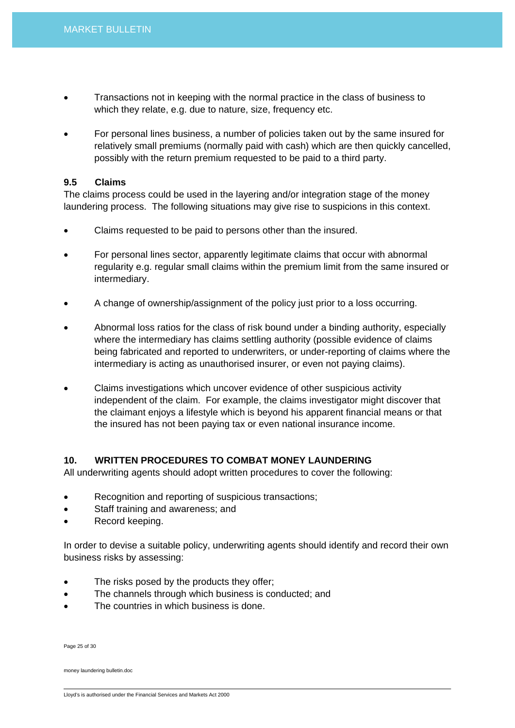- Transactions not in keeping with the normal practice in the class of business to which they relate, e.g. due to nature, size, frequency etc.
- For personal lines business, a number of policies taken out by the same insured for relatively small premiums (normally paid with cash) which are then quickly cancelled, possibly with the return premium requested to be paid to a third party.

## **9.5 Claims**

The claims process could be used in the layering and/or integration stage of the money laundering process. The following situations may give rise to suspicions in this context.

- Claims requested to be paid to persons other than the insured.
- For personal lines sector, apparently legitimate claims that occur with abnormal regularity e.g. regular small claims within the premium limit from the same insured or intermediary.
- A change of ownership/assignment of the policy just prior to a loss occurring.
- Abnormal loss ratios for the class of risk bound under a binding authority, especially where the intermediary has claims settling authority (possible evidence of claims being fabricated and reported to underwriters, or under-reporting of claims where the intermediary is acting as unauthorised insurer, or even not paying claims).
- Claims investigations which uncover evidence of other suspicious activity independent of the claim. For example, the claims investigator might discover that the claimant enjoys a lifestyle which is beyond his apparent financial means or that the insured has not been paying tax or even national insurance income.

# **10. WRITTEN PROCEDURES TO COMBAT MONEY LAUNDERING**

All underwriting agents should adopt written procedures to cover the following:

- Recognition and reporting of suspicious transactions;
- Staff training and awareness; and
- Record keeping.

In order to devise a suitable policy, underwriting agents should identify and record their own business risks by assessing:

- The risks posed by the products they offer;
- The channels through which business is conducted; and
- The countries in which business is done.

Page 25 of 30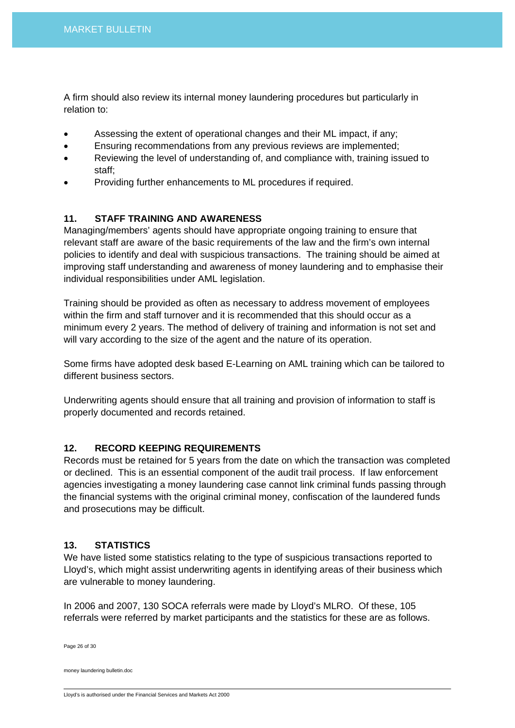A firm should also review its internal money laundering procedures but particularly in relation to:

- Assessing the extent of operational changes and their ML impact, if any;
- Ensuring recommendations from any previous reviews are implemented;
- Reviewing the level of understanding of, and compliance with, training issued to staff;
- Providing further enhancements to ML procedures if required.

# **11. STAFF TRAINING AND AWARENESS**

Managing/members' agents should have appropriate ongoing training to ensure that relevant staff are aware of the basic requirements of the law and the firm's own internal policies to identify and deal with suspicious transactions. The training should be aimed at improving staff understanding and awareness of money laundering and to emphasise their individual responsibilities under AML legislation.

Training should be provided as often as necessary to address movement of employees within the firm and staff turnover and it is recommended that this should occur as a minimum every 2 years. The method of delivery of training and information is not set and will vary according to the size of the agent and the nature of its operation.

Some firms have adopted desk based E-Learning on AML training which can be tailored to different business sectors.

Underwriting agents should ensure that all training and provision of information to staff is properly documented and records retained.

# **12. RECORD KEEPING REQUIREMENTS**

Records must be retained for 5 years from the date on which the transaction was completed or declined. This is an essential component of the audit trail process. If law enforcement agencies investigating a money laundering case cannot link criminal funds passing through the financial systems with the original criminal money, confiscation of the laundered funds and prosecutions may be difficult.

# **13. STATISTICS**

We have listed some statistics relating to the type of suspicious transactions reported to Lloyd's, which might assist underwriting agents in identifying areas of their business which are vulnerable to money laundering.

In 2006 and 2007, 130 SOCA referrals were made by Lloyd's MLRO. Of these, 105 referrals were referred by market participants and the statistics for these are as follows.

Page 26 of 30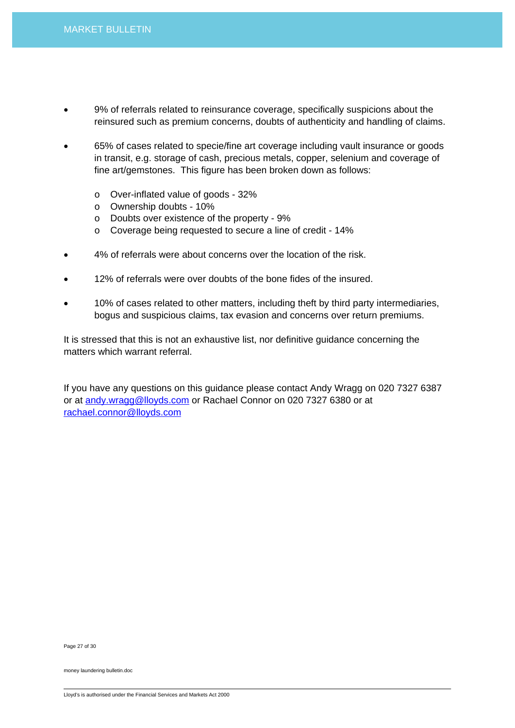- 9% of referrals related to reinsurance coverage, specifically suspicions about the reinsured such as premium concerns, doubts of authenticity and handling of claims.
- 65% of cases related to specie/fine art coverage including vault insurance or goods in transit, e.g. storage of cash, precious metals, copper, selenium and coverage of fine art/gemstones. This figure has been broken down as follows:
	- o Over-inflated value of goods 32%
	- o Ownership doubts 10%
	- o Doubts over existence of the property 9%
	- o Coverage being requested to secure a line of credit 14%
- 4% of referrals were about concerns over the location of the risk.
- 12% of referrals were over doubts of the bone fides of the insured.
- 10% of cases related to other matters, including theft by third party intermediaries, bogus and suspicious claims, tax evasion and concerns over return premiums.

It is stressed that this is not an exhaustive list, nor definitive guidance concerning the matters which warrant referral.

If you have any questions on this guidance please contact Andy Wragg on 020 7327 6387 or at [andy.wragg@lloyds.com](mailto:andy.wragg@lloyds.com) or Rachael Connor on 020 7327 6380 or at [rachael.connor@lloyds.com](mailto:rachael.connor@lloyds.com)

Page 27 of 30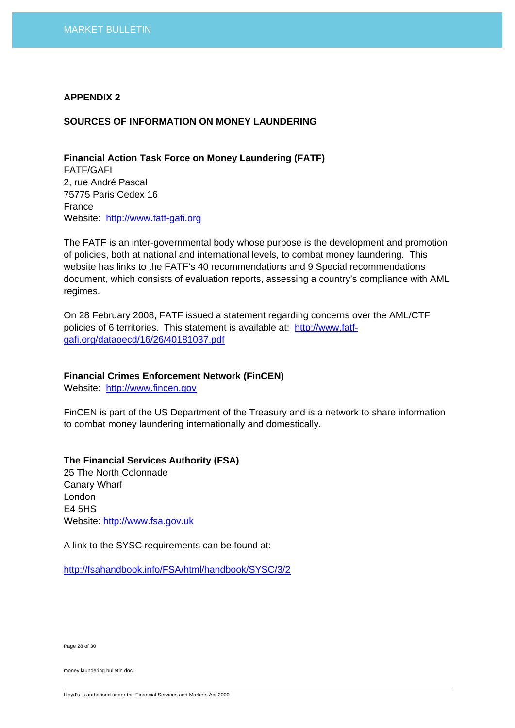#### **APPENDIX 2**

#### **SOURCES OF INFORMATION ON MONEY LAUNDERING**

**Financial Action Task Force on Money Laundering (FATF)**  FATF/GAFI 2, rue André Pascal 75775 Paris Cedex 16 France Website: [http://www.fatf-gafi.org](http://www.fatf-gafi.org/)

The FATF is an inter-governmental body whose purpose is the development and promotion of policies, both at national and international levels, to combat money laundering. This website has links to the FATF's 40 recommendations and 9 Special recommendations document, which consists of evaluation reports, assessing a country's compliance with AML regimes.

On 28 February 2008, FATF issued a statement regarding concerns over the AML/CTF policies of 6 territories. This statement is available at: [http://www.fatf](http://www.fatf-gafi.org/dataoecd/16/26/40181037.pdf)[gafi.org/dataoecd/16/26/40181037.pdf](http://www.fatf-gafi.org/dataoecd/16/26/40181037.pdf)

### **Financial Crimes Enforcement Network (FinCEN)**

Website: [http://www.fincen.gov](http://www.fincen.gov/)

FinCEN is part of the US Department of the Treasury and is a network to share information to combat money laundering internationally and domestically.

## **The Financial Services Authority (FSA)**

25 The North Colonnade Canary Wharf London E4 5HS Website: [http://www.fsa.gov.uk](http://www.fsa.gov.uk/)

A link to the SYSC requirements can be found at:

<http://fsahandbook.info/FSA/html/handbook/SYSC/3/2>

Page 28 of 30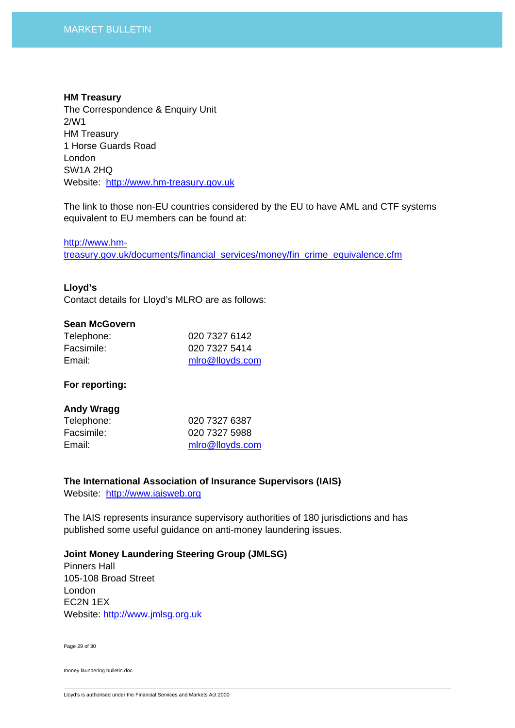#### **HM Treasury**

The Correspondence & Enquiry Unit 2/W1 HM Treasury 1 Horse Guards Road London SW1A 2HQ Website: [http://www.hm-treasury.gov.uk](http://www.hm-treasury.gov.uk/)

The link to those non-EU countries considered by the EU to have AML and CTF systems equivalent to EU members can be found at:

[http://www.hm-](http://www.hm-treasury.gov.uk/documents/financial_services/money/fin_crime_equivalence.cfm)

[treasury.gov.uk/documents/financial\\_services/money/fin\\_crime\\_equivalence.cfm](http://www.hm-treasury.gov.uk/documents/financial_services/money/fin_crime_equivalence.cfm)

## **Lloyd's**

Contact details for Lloyd's MLRO are as follows:

## **Sean McGovern**

| Telephone: | 020 7327 6142   |
|------------|-----------------|
| Facsimile: | 020 7327 5414   |
| Email:     | mlro@lloyds.com |

## **For reporting:**

## **Andy Wragg**

| 020 7327 6387   |
|-----------------|
| 020 7327 5988   |
| mlro@lloyds.com |
|                 |

**The International Association of Insurance Supervisors (IAIS)** 

Website: [http://www.iaisweb.org](http://www.iaisweb.org/)

The IAIS represents insurance supervisory authorities of 180 jurisdictions and has published some useful guidance on anti-money laundering issues.

**Joint Money Laundering Steering Group (JMLSG)** 

Pinners Hall 105-108 Broad Street London EC2N 1EX Website: [http://www.jmlsg.org.uk](http://www.jmlsg.org.uk/)

Page 29 of 30